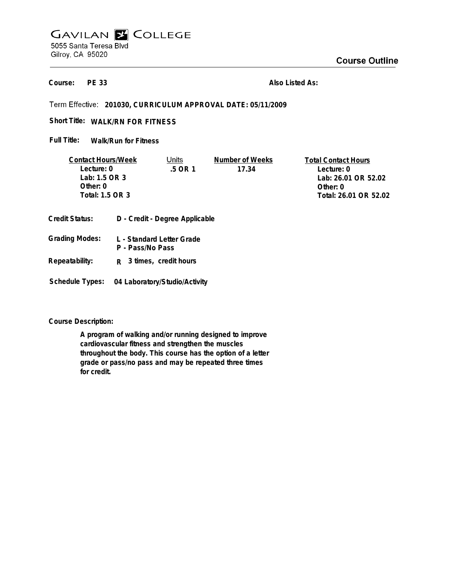## **GAVILAN E COLLEGE** 5055 Santa Teresa Blvd Gilroy, CA 95020

**PE 33 Course:**

**Also Listed As:**

**201030, CURRICULUM APPROVAL DATE: 05/11/2009**

**WALK/RN FOR FITNESS Short Title:**

**Walk/Run for Fitness Full Title:**

| <b>Contact Hours/Week</b>                               |  | Units   | Number of Weeks | <b>Total Contact Hours</b> |
|---------------------------------------------------------|--|---------|-----------------|----------------------------|
| Lecture: 0                                              |  | .5 OR 1 | 17.34           | Lecture: 0                 |
| Lab: 1.5 OR 3                                           |  |         |                 | Lab: 26.01 OR 52.02        |
| Other: $0$                                              |  |         |                 | Other: 0                   |
| Total: 1.5 OR 3                                         |  |         |                 | Total: 26.01 OR 52.02      |
|                                                         |  |         |                 |                            |
| D - Credit - Degree Applicable<br><b>Credit Status:</b> |  |         |                 |                            |

| Grading Modes: | L - Standard Letter Grade<br>P - Pass/No Pass |
|----------------|-----------------------------------------------|
| Repeatability: | R 3 times, credit hours                       |

**Schedule Types: 04 Laboratory/Studio/Activity**

**Course Description:**

**A program of walking and/or running designed to improve cardiovascular fitness and strengthen the muscles throughout the body. This course has the option of a letter grade or pass/no pass and may be repeated three times for credit.**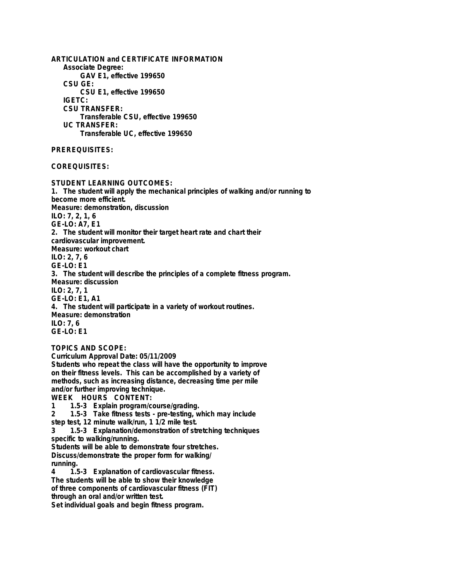**ARTICULATION and CERTIFICATE INFORMATION Associate Degree: GAV E1, effective 199650 CSU GE: CSU E1, effective 199650 IGETC: CSU TRANSFER: Transferable CSU, effective 199650 UC TRANSFER: Transferable UC, effective 199650 PREREQUISITES: COREQUISITES: STUDENT LEARNING OUTCOMES: 1. The student will apply the mechanical principles of walking and/or running to become more efficient. Measure: demonstration, discussion ILO: 7, 2, 1, 6 GE-LO: A7, E1 2. The student will monitor their target heart rate and chart their cardiovascular improvement. Measure: workout chart ILO: 2, 7, 6 GE-LO: E1 3. The student will describe the principles of a complete fitness program. Measure: discussion ILO: 2, 7, 1 GE-LO: E1, A1 4. The student will participate in a variety of workout routines. Measure: demonstration ILO: 7, 6 GE-LO: E1 TOPICS AND SCOPE: Curriculum Approval Date: 05/11/2009 Students who repeat the class will have the opportunity to improve**

**on their fitness levels. This can be accomplished by a variety of methods, such as increasing distance, decreasing time per mile and/or further improving technique.**

**WEEK HOURS CONTENT:**

**1 1.5-3 Explain program/course/grading.**

**2 1.5-3 Take fitness tests - pre-testing, which may include**

**step test, 12 minute walk/run, 1 1/2 mile test.**

**3 1.5-3 Explanation/demonstration of stretching techniques specific to walking/running.**

**Students will be able to demonstrate four stretches. Discuss/demonstrate the proper form for walking/ running.**<br> $\frac{1}{4}$ 

**4 1.5-3 Explanation of cardiovascular fitness. The students will be able to show their knowledge of three components of cardiovascular fitness (FIT) through an oral and/or written test.**

**Set individual goals and begin fitness program.**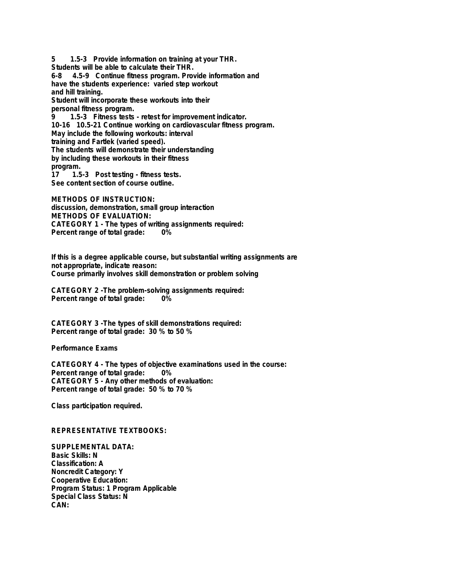**5 1.5-3 Provide information on training at your THR. Students will be able to calculate their THR. 6-8 4.5-9 Continue fitness program. Provide information and have the students experience: varied step workout and hill training. Student will incorporate these workouts into their personal fitness program. 9 1.5-3 Fitness tests - retest for improvement indicator.**

**10-16 10.5-21 Continue working on cardiovascular fitness program. May include the following workouts: interval training and Fartlek (varied speed). The students will demonstrate their understanding by including these workouts in their fitness**

**program. 17 1.5-3 Post testing - fitness tests. See content section of course outline.**

**METHODS OF INSTRUCTION: discussion, demonstration, small group interaction METHODS OF EVALUATION: CATEGORY 1 - The types of writing assignments required: Percent range of total grade: 0%**

**If this is a degree applicable course, but substantial writing assignments are not appropriate, indicate reason: Course primarily involves skill demonstration or problem solving**

**CATEGORY 2 -The problem-solving assignments required: Percent range of total grade:** 

**CATEGORY 3 -The types of skill demonstrations required: Percent range of total grade: 30 % to 50 %**

**Performance Exams**

**CATEGORY 4 - The types of objective examinations used in the course: Percent range of total grade: CATEGORY 5 - Any other methods of evaluation: Percent range of total grade: 50 % to 70 %**

**Class participation required.**

**REPRESENTATIVE TEXTBOOKS:**

**SUPPLEMENTAL DATA: Basic Skills: N Classification: A Noncredit Category: Y Cooperative Education: Program Status: 1 Program Applicable Special Class Status: N CAN:**